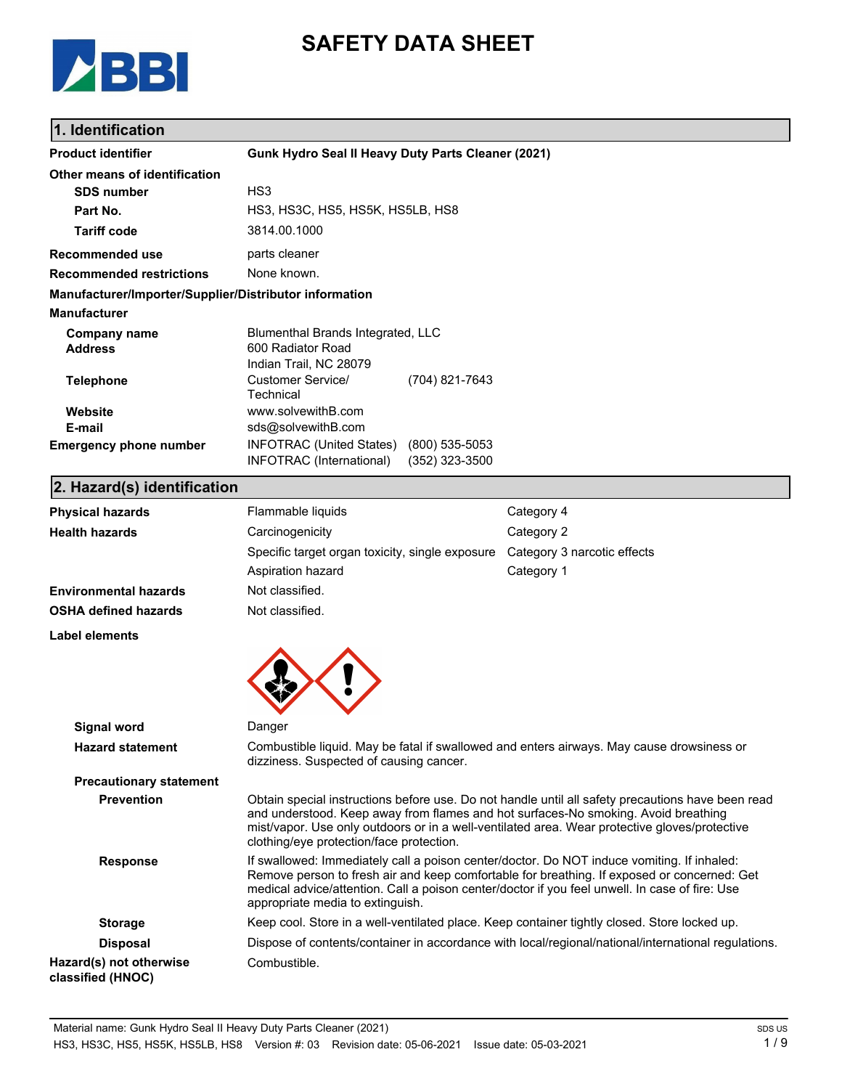

# **SAFETY DATA SHEET**

## **1. Identification**

| <b>Product identifier</b>                              | Gunk Hydro Seal II Heavy Duty Parts Cleaner (2021)                                                                                                                                                                                                                                                                                   |                                      |                                                                                                     |  |
|--------------------------------------------------------|--------------------------------------------------------------------------------------------------------------------------------------------------------------------------------------------------------------------------------------------------------------------------------------------------------------------------------------|--------------------------------------|-----------------------------------------------------------------------------------------------------|--|
| Other means of identification                          |                                                                                                                                                                                                                                                                                                                                      |                                      |                                                                                                     |  |
| <b>SDS number</b>                                      | HS <sub>3</sub>                                                                                                                                                                                                                                                                                                                      |                                      |                                                                                                     |  |
| Part No.                                               | HS3, HS3C, HS5, HS5K, HS5LB, HS8                                                                                                                                                                                                                                                                                                     |                                      |                                                                                                     |  |
| <b>Tariff code</b>                                     | 3814.00.1000                                                                                                                                                                                                                                                                                                                         |                                      |                                                                                                     |  |
| <b>Recommended use</b>                                 | parts cleaner                                                                                                                                                                                                                                                                                                                        |                                      |                                                                                                     |  |
| <b>Recommended restrictions</b>                        | None known.                                                                                                                                                                                                                                                                                                                          |                                      |                                                                                                     |  |
| Manufacturer/Importer/Supplier/Distributor information |                                                                                                                                                                                                                                                                                                                                      |                                      |                                                                                                     |  |
| <b>Manufacturer</b>                                    |                                                                                                                                                                                                                                                                                                                                      |                                      |                                                                                                     |  |
| <b>Company name</b><br><b>Address</b>                  | Blumenthal Brands Integrated, LLC<br>600 Radiator Road<br>Indian Trail, NC 28079                                                                                                                                                                                                                                                     |                                      |                                                                                                     |  |
| <b>Telephone</b>                                       | <b>Customer Service/</b><br>Technical                                                                                                                                                                                                                                                                                                | (704) 821-7643                       |                                                                                                     |  |
| Website<br>E-mail                                      | www.solvewithB.com<br>sds@solvewithB.com                                                                                                                                                                                                                                                                                             |                                      |                                                                                                     |  |
| <b>Emergency phone number</b>                          | <b>INFOTRAC (United States)</b><br><b>INFOTRAC</b> (International)                                                                                                                                                                                                                                                                   | $(800)$ 535-5053<br>$(352)$ 323-3500 |                                                                                                     |  |
| 2. Hazard(s) identification                            |                                                                                                                                                                                                                                                                                                                                      |                                      |                                                                                                     |  |
| <b>Physical hazards</b>                                | Flammable liquids                                                                                                                                                                                                                                                                                                                    |                                      | Category 4                                                                                          |  |
| <b>Health hazards</b>                                  | Carcinogenicity                                                                                                                                                                                                                                                                                                                      |                                      | Category 2                                                                                          |  |
|                                                        | Specific target organ toxicity, single exposure                                                                                                                                                                                                                                                                                      |                                      | Category 3 narcotic effects                                                                         |  |
|                                                        | Aspiration hazard                                                                                                                                                                                                                                                                                                                    |                                      | Category 1                                                                                          |  |
| <b>Environmental hazards</b>                           | Not classified.                                                                                                                                                                                                                                                                                                                      |                                      |                                                                                                     |  |
| <b>OSHA defined hazards</b>                            | Not classified.                                                                                                                                                                                                                                                                                                                      |                                      |                                                                                                     |  |
| Label elements                                         |                                                                                                                                                                                                                                                                                                                                      |                                      |                                                                                                     |  |
|                                                        |                                                                                                                                                                                                                                                                                                                                      |                                      |                                                                                                     |  |
| Signal word                                            | Danger                                                                                                                                                                                                                                                                                                                               |                                      |                                                                                                     |  |
| <b>Hazard statement</b>                                | dizziness. Suspected of causing cancer.                                                                                                                                                                                                                                                                                              |                                      | Combustible liquid. May be fatal if swallowed and enters airways. May cause drowsiness or           |  |
| <b>Precautionary statement</b>                         |                                                                                                                                                                                                                                                                                                                                      |                                      |                                                                                                     |  |
| <b>Prevention</b>                                      | Obtain special instructions before use. Do not handle until all safety precautions have been read<br>and understood. Keep away from flames and hot surfaces-No smoking. Avoid breathing<br>mist/vapor. Use only outdoors or in a well-ventilated area. Wear protective gloves/protective<br>clothing/eye protection/face protection. |                                      |                                                                                                     |  |
| <b>Response</b>                                        | If swallowed: Immediately call a poison center/doctor. Do NOT induce vomiting. If inhaled:<br>Remove person to fresh air and keep comfortable for breathing. If exposed or concerned: Get<br>medical advice/attention. Call a poison center/doctor if you feel unwell. In case of fire: Use<br>appropriate media to extinguish.      |                                      |                                                                                                     |  |
| <b>Storage</b>                                         |                                                                                                                                                                                                                                                                                                                                      |                                      | Keep cool. Store in a well-ventilated place. Keep container tightly closed. Store locked up.        |  |
| <b>Disposal</b>                                        |                                                                                                                                                                                                                                                                                                                                      |                                      | Dispose of contents/container in accordance with local/regional/national/international regulations. |  |
| Hazard(s) not otherwise<br>classified (HNOC)           | Combustible.                                                                                                                                                                                                                                                                                                                         |                                      |                                                                                                     |  |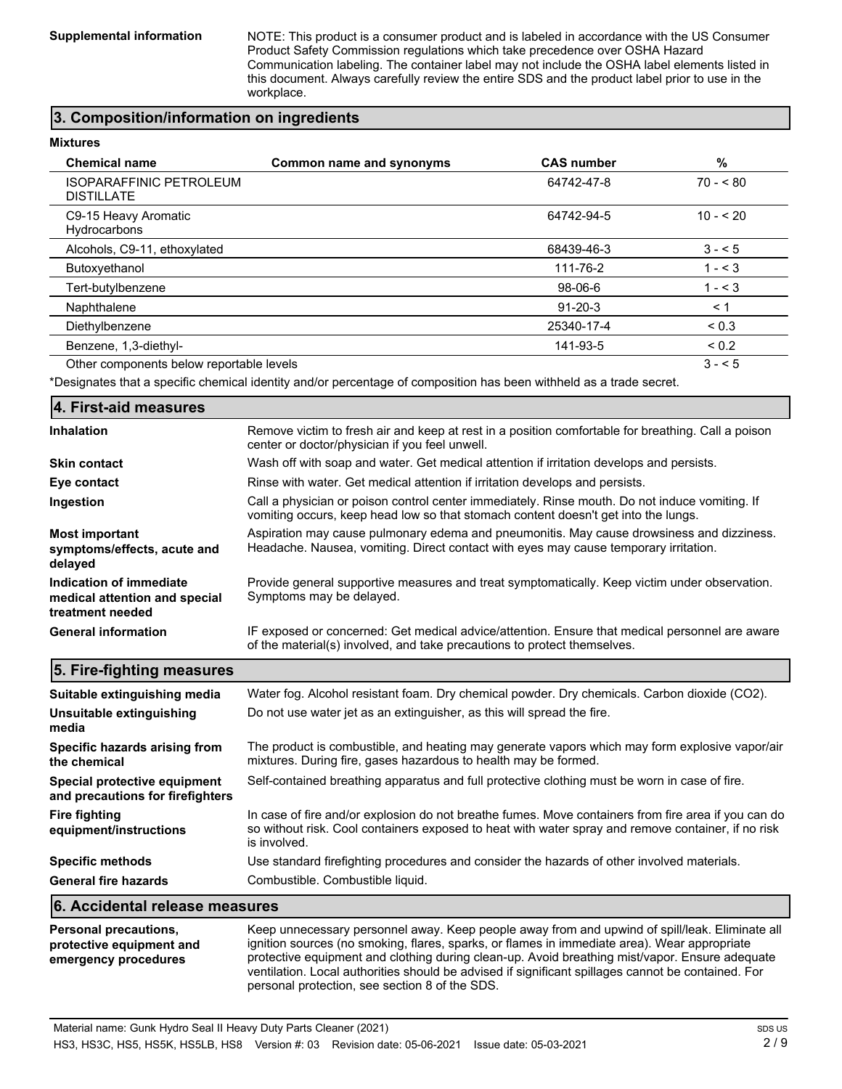**Supplemental information** NOTE: This product is a consumer product and is labeled in accordance with the US Consumer Product Safety Commission regulations which take precedence over OSHA Hazard Communication labeling. The container label may not include the OSHA label elements listed in this document. Always carefully review the entire SDS and the product label prior to use in the workplace.

### **3. Composition/information on ingredients**

#### **Mixtures**

| <b>Chemical name</b>                                | Common name and synonyms | <b>CAS number</b> | %          |
|-----------------------------------------------------|--------------------------|-------------------|------------|
| <b>ISOPARAFFINIC PETROLEUM</b><br><b>DISTILLATE</b> |                          | 64742-47-8        | $70 - 80$  |
| C9-15 Heavy Aromatic<br>Hydrocarbons                |                          | 64742-94-5        | $10 - 520$ |
| Alcohols, C9-11, ethoxylated                        |                          | 68439-46-3        | $3 - 5$    |
| Butoxyethanol                                       |                          | 111-76-2          | $1 - 3$    |
| Tert-butylbenzene                                   |                          | 98-06-6           | $1 - 3$    |
| Naphthalene                                         |                          | $91 - 20 - 3$     | < 1        |
| Diethylbenzene                                      |                          | 25340-17-4        | ${}_{0.3}$ |
| Benzene, 1,3-diethyl-                               |                          | 141-93-5          | ${}_{0.2}$ |
| Other components below reportable levels            |                          |                   | $3 - 5$    |

\*Designates that a specific chemical identity and/or percentage of composition has been withheld as a trade secret.

#### **4. First-aid measures** Remove victim to fresh air and keep at rest in a position comfortable for breathing. Call a poison center or doctor/physician if you feel unwell. **Inhalation Skin contact** Wash off with soap and water. Get medical attention if irritation develops and persists. **Eye contact Rinse with water. Get medical attention if irritation develops and persists.** Call a physician or poison control center immediately. Rinse mouth. Do not induce vomiting. If vomiting occurs, keep head low so that stomach content doesn't get into the lungs. **Ingestion** Aspiration may cause pulmonary edema and pneumonitis. May cause drowsiness and dizziness. Headache. Nausea, vomiting. Direct contact with eyes may cause temporary irritation. **Most important symptoms/effects, acute and delayed** Provide general supportive measures and treat symptomatically. Keep victim under observation. Symptoms may be delayed. **Indication of immediate medical attention and special treatment needed** IF exposed or concerned: Get medical advice/attention. Ensure that medical personnel are aware of the material(s) involved, and take precautions to protect themselves. **General information**

| 5. Fire-fighting measures                                                        |                                                                                                                                                                                                                                                                                                                                                                                                        |
|----------------------------------------------------------------------------------|--------------------------------------------------------------------------------------------------------------------------------------------------------------------------------------------------------------------------------------------------------------------------------------------------------------------------------------------------------------------------------------------------------|
| Suitable extinguishing media                                                     | Water fog. Alcohol resistant foam. Dry chemical powder. Dry chemicals. Carbon dioxide (CO2).                                                                                                                                                                                                                                                                                                           |
| Unsuitable extinguishing<br>media                                                | Do not use water jet as an extinguisher, as this will spread the fire.                                                                                                                                                                                                                                                                                                                                 |
| Specific hazards arising from<br>the chemical                                    | The product is combustible, and heating may generate vapors which may form explosive vapor/air<br>mixtures. During fire, gases hazardous to health may be formed.                                                                                                                                                                                                                                      |
| Special protective equipment<br>and precautions for firefighters                 | Self-contained breathing apparatus and full protective clothing must be worn in case of fire.                                                                                                                                                                                                                                                                                                          |
| <b>Fire fighting</b><br>equipment/instructions                                   | In case of fire and/or explosion do not breathe fumes. Move containers from fire area if you can do<br>so without risk. Cool containers exposed to heat with water spray and remove container, if no risk<br>is involved.                                                                                                                                                                              |
| <b>Specific methods</b>                                                          | Use standard firefighting procedures and consider the hazards of other involved materials.                                                                                                                                                                                                                                                                                                             |
| <b>General fire hazards</b>                                                      | Combustible. Combustible liquid.                                                                                                                                                                                                                                                                                                                                                                       |
| 6. Accidental release measures                                                   |                                                                                                                                                                                                                                                                                                                                                                                                        |
| <b>Personal precautions,</b><br>protective equipment and<br>emergency procedures | Keep unnecessary personnel away. Keep people away from and upwind of spill/leak. Eliminate all<br>ignition sources (no smoking, flares, sparks, or flames in immediate area). Wear appropriate<br>protective equipment and clothing during clean-up. Avoid breathing mist/vapor. Ensure adequate<br>ventilation. Local authorities should be advised if significant spillages cannot be contained. For |

personal protection, see section 8 of the SDS.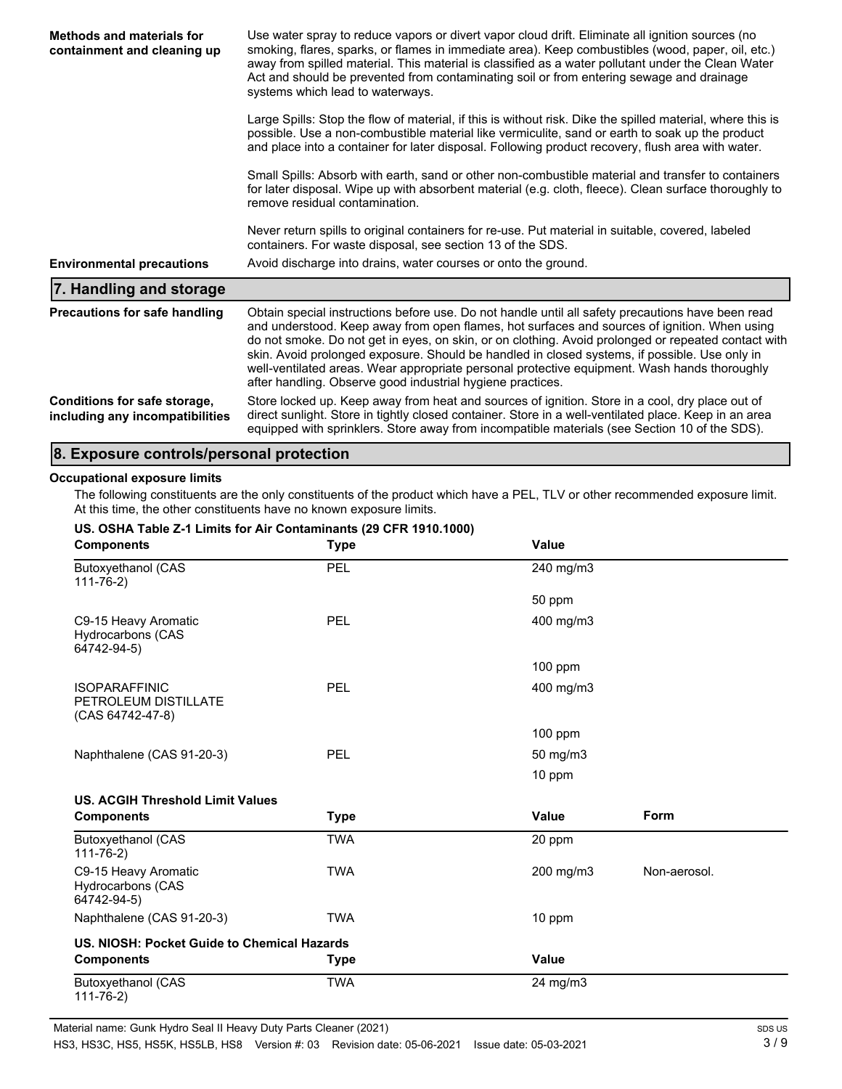| Methods and materials for<br>containment and cleaning up        | Use water spray to reduce vapors or divert vapor cloud drift. Eliminate all ignition sources (no<br>smoking, flares, sparks, or flames in immediate area). Keep combustibles (wood, paper, oil, etc.)<br>away from spilled material. This material is classified as a water pollutant under the Clean Water<br>Act and should be prevented from contaminating soil or from entering sewage and drainage<br>systems which lead to waterways.                                                                                                                             |  |  |
|-----------------------------------------------------------------|-------------------------------------------------------------------------------------------------------------------------------------------------------------------------------------------------------------------------------------------------------------------------------------------------------------------------------------------------------------------------------------------------------------------------------------------------------------------------------------------------------------------------------------------------------------------------|--|--|
|                                                                 | Large Spills: Stop the flow of material, if this is without risk. Dike the spilled material, where this is<br>possible. Use a non-combustible material like vermiculite, sand or earth to soak up the product<br>and place into a container for later disposal. Following product recovery, flush area with water.                                                                                                                                                                                                                                                      |  |  |
|                                                                 | Small Spills: Absorb with earth, sand or other non-combustible material and transfer to containers<br>for later disposal. Wipe up with absorbent material (e.g. cloth, fleece). Clean surface thoroughly to<br>remove residual contamination.                                                                                                                                                                                                                                                                                                                           |  |  |
|                                                                 | Never return spills to original containers for re-use. Put material in suitable, covered, labeled<br>containers. For waste disposal, see section 13 of the SDS.                                                                                                                                                                                                                                                                                                                                                                                                         |  |  |
| <b>Environmental precautions</b>                                | Avoid discharge into drains, water courses or onto the ground.                                                                                                                                                                                                                                                                                                                                                                                                                                                                                                          |  |  |
| 7. Handling and storage                                         |                                                                                                                                                                                                                                                                                                                                                                                                                                                                                                                                                                         |  |  |
| <b>Precautions for safe handling</b>                            | Obtain special instructions before use. Do not handle until all safety precautions have been read<br>and understood. Keep away from open flames, hot surfaces and sources of ignition. When using<br>do not smoke. Do not get in eyes, on skin, or on clothing. Avoid prolonged or repeated contact with<br>skin. Avoid prolonged exposure. Should be handled in closed systems, if possible. Use only in<br>well-ventilated areas. Wear appropriate personal protective equipment. Wash hands thoroughly<br>after handling. Observe good industrial hygiene practices. |  |  |
| Conditions for safe storage,<br>including any incompatibilities | Store locked up. Keep away from heat and sources of ignition. Store in a cool, dry place out of<br>direct sunlight. Store in tightly closed container. Store in a well-ventilated place. Keep in an area<br>equipped with sprinklers. Store away from incompatible materials (see Section 10 of the SDS).                                                                                                                                                                                                                                                               |  |  |

### **8. Exposure controls/personal protection**

### **Occupational exposure limits**

The following constituents are the only constituents of the product which have a PEL, TLV or other recommended exposure limit. At this time, the other constituents have no known exposure limits.

| US. OSHA Table Z-1 Limits for Air Contaminants (29 CFR 1910.1000) |             |              |              |  |
|-------------------------------------------------------------------|-------------|--------------|--------------|--|
| <b>Components</b>                                                 | <b>Type</b> | <b>Value</b> |              |  |
| <b>Butoxyethanol (CAS</b><br>$111 - 76 - 2)$                      | <b>PEL</b>  | 240 mg/m3    |              |  |
|                                                                   |             | 50 ppm       |              |  |
| C9-15 Heavy Aromatic<br>Hydrocarbons (CAS<br>64742-94-5)          | PEL         | 400 mg/m3    |              |  |
|                                                                   |             | 100 ppm      |              |  |
| <b>ISOPARAFFINIC</b><br>PETROLEUM DISTILLATE<br>(CAS 64742-47-8)  | PEL         | 400 mg/m3    |              |  |
|                                                                   |             | $100$ ppm    |              |  |
| Naphthalene (CAS 91-20-3)                                         | PEL         | 50 mg/m3     |              |  |
|                                                                   |             | 10 ppm       |              |  |
| US. ACGIH Threshold Limit Values                                  |             |              |              |  |
| <b>Components</b>                                                 | <b>Type</b> | <b>Value</b> | <b>Form</b>  |  |
| <b>Butoxyethanol (CAS</b><br>$111 - 76 - 2)$                      | <b>TWA</b>  | 20 ppm       |              |  |
| C9-15 Heavy Aromatic<br><b>Hydrocarbons (CAS</b><br>64742-94-5)   | <b>TWA</b>  | 200 mg/m3    | Non-aerosol. |  |
| Naphthalene (CAS 91-20-3)                                         | <b>TWA</b>  | 10 ppm       |              |  |
| US. NIOSH: Pocket Guide to Chemical Hazards                       |             |              |              |  |
| <b>Components</b>                                                 | <b>Type</b> | <b>Value</b> |              |  |
| <b>Butoxyethanol (CAS</b><br>$111 - 76 - 2)$                      | <b>TWA</b>  | 24 mg/m3     |              |  |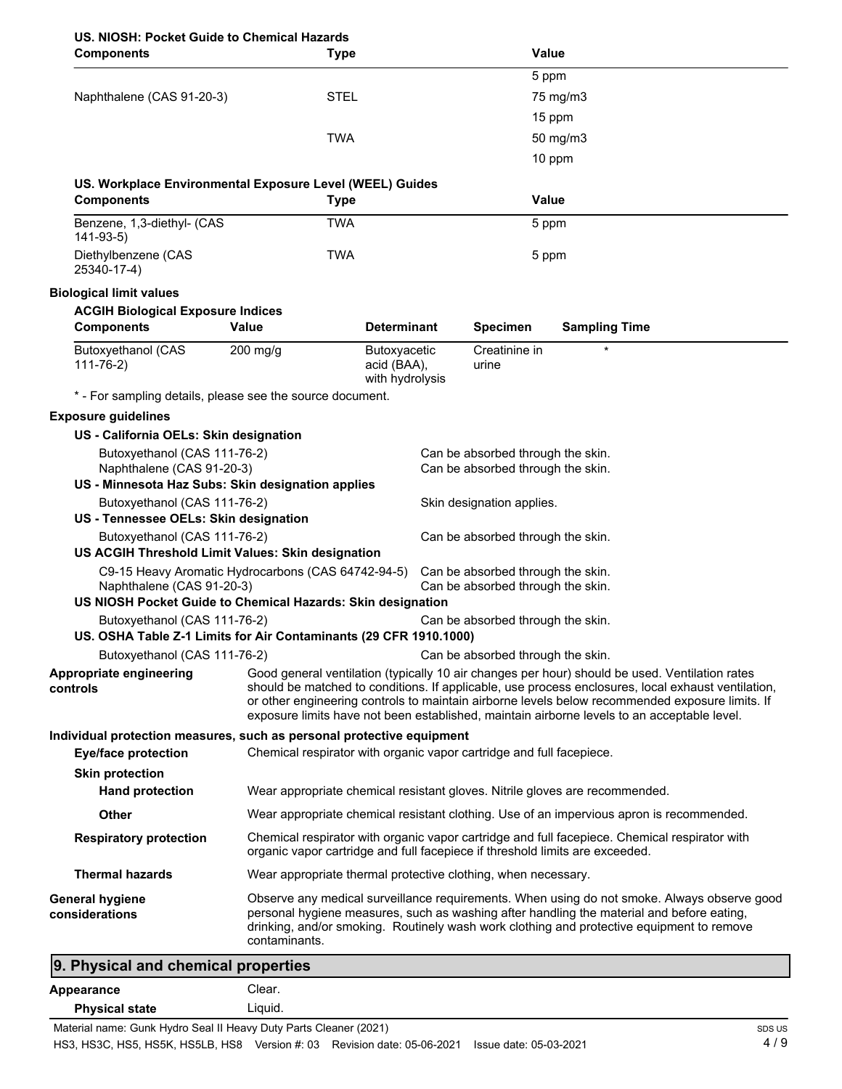# **US. NIOSH: Pocket Guide to Chemical Hazards**

| US. NIUSH: POCKET GUIDE TO UNEMICAI HAZAROS<br><b>Components</b>                                                                               | <b>Type</b>                                                                  |                                                |                                                                        | <b>Value</b>                                                                                                                                                                                                                                                                                                                                                                                           |
|------------------------------------------------------------------------------------------------------------------------------------------------|------------------------------------------------------------------------------|------------------------------------------------|------------------------------------------------------------------------|--------------------------------------------------------------------------------------------------------------------------------------------------------------------------------------------------------------------------------------------------------------------------------------------------------------------------------------------------------------------------------------------------------|
|                                                                                                                                                |                                                                              |                                                |                                                                        | 5 ppm                                                                                                                                                                                                                                                                                                                                                                                                  |
| Naphthalene (CAS 91-20-3)                                                                                                                      | <b>STEL</b>                                                                  |                                                |                                                                        | 75 mg/m3                                                                                                                                                                                                                                                                                                                                                                                               |
|                                                                                                                                                |                                                                              |                                                |                                                                        | 15 ppm                                                                                                                                                                                                                                                                                                                                                                                                 |
|                                                                                                                                                | <b>TWA</b>                                                                   |                                                |                                                                        | 50 mg/m3                                                                                                                                                                                                                                                                                                                                                                                               |
|                                                                                                                                                |                                                                              |                                                |                                                                        | 10 ppm                                                                                                                                                                                                                                                                                                                                                                                                 |
| US. Workplace Environmental Exposure Level (WEEL) Guides                                                                                       |                                                                              |                                                |                                                                        |                                                                                                                                                                                                                                                                                                                                                                                                        |
| <b>Components</b>                                                                                                                              | <b>Type</b>                                                                  |                                                |                                                                        | <b>Value</b>                                                                                                                                                                                                                                                                                                                                                                                           |
| Benzene, 1,3-diethyl- (CAS<br>$141-93-5)$                                                                                                      | <b>TWA</b>                                                                   |                                                |                                                                        | 5 ppm                                                                                                                                                                                                                                                                                                                                                                                                  |
| Diethylbenzene (CAS<br>25340-17-4)                                                                                                             | <b>TWA</b>                                                                   |                                                |                                                                        | 5 ppm                                                                                                                                                                                                                                                                                                                                                                                                  |
| <b>Biological limit values</b>                                                                                                                 |                                                                              |                                                |                                                                        |                                                                                                                                                                                                                                                                                                                                                                                                        |
| <b>ACGIH Biological Exposure Indices</b>                                                                                                       |                                                                              |                                                |                                                                        |                                                                                                                                                                                                                                                                                                                                                                                                        |
| <b>Components</b>                                                                                                                              | Value                                                                        | <b>Determinant</b>                             | <b>Specimen</b>                                                        | <b>Sampling Time</b>                                                                                                                                                                                                                                                                                                                                                                                   |
| <b>Butoxyethanol (CAS</b><br>$111 - 76 - 2)$                                                                                                   | $200$ mg/g                                                                   | Butoxyacetic<br>acid (BAA),<br>with hydrolysis | Creatinine in<br>urine                                                 |                                                                                                                                                                                                                                                                                                                                                                                                        |
| * - For sampling details, please see the source document.                                                                                      |                                                                              |                                                |                                                                        |                                                                                                                                                                                                                                                                                                                                                                                                        |
| <b>Exposure guidelines</b>                                                                                                                     |                                                                              |                                                |                                                                        |                                                                                                                                                                                                                                                                                                                                                                                                        |
| US - California OELs: Skin designation                                                                                                         |                                                                              |                                                |                                                                        |                                                                                                                                                                                                                                                                                                                                                                                                        |
| Butoxyethanol (CAS 111-76-2)<br>Naphthalene (CAS 91-20-3)<br>US - Minnesota Haz Subs: Skin designation applies                                 |                                                                              |                                                | Can be absorbed through the skin.<br>Can be absorbed through the skin. |                                                                                                                                                                                                                                                                                                                                                                                                        |
| Butoxyethanol (CAS 111-76-2)                                                                                                                   |                                                                              |                                                | Skin designation applies.                                              |                                                                                                                                                                                                                                                                                                                                                                                                        |
| US - Tennessee OELs: Skin designation                                                                                                          |                                                                              |                                                |                                                                        |                                                                                                                                                                                                                                                                                                                                                                                                        |
| Butoxyethanol (CAS 111-76-2)                                                                                                                   |                                                                              |                                                | Can be absorbed through the skin.                                      |                                                                                                                                                                                                                                                                                                                                                                                                        |
| US ACGIH Threshold Limit Values: Skin designation                                                                                              |                                                                              |                                                |                                                                        |                                                                                                                                                                                                                                                                                                                                                                                                        |
| C9-15 Heavy Aromatic Hydrocarbons (CAS 64742-94-5)<br>Naphthalene (CAS 91-20-3)<br>US NIOSH Pocket Guide to Chemical Hazards: Skin designation |                                                                              |                                                | Can be absorbed through the skin.<br>Can be absorbed through the skin. |                                                                                                                                                                                                                                                                                                                                                                                                        |
| Butoxyethanol (CAS 111-76-2)                                                                                                                   |                                                                              |                                                | Can be absorbed through the skin.                                      |                                                                                                                                                                                                                                                                                                                                                                                                        |
| US. OSHA Table Z-1 Limits for Air Contaminants (29 CFR 1910.1000)                                                                              |                                                                              |                                                |                                                                        |                                                                                                                                                                                                                                                                                                                                                                                                        |
| Butoxyethanol (CAS 111-76-2)                                                                                                                   |                                                                              |                                                | Can be absorbed through the skin.                                      |                                                                                                                                                                                                                                                                                                                                                                                                        |
| Appropriate engineering<br>controls                                                                                                            |                                                                              |                                                |                                                                        | Good general ventilation (typically 10 air changes per hour) should be used. Ventilation rates<br>should be matched to conditions. If applicable, use process enclosures, local exhaust ventilation,<br>or other engineering controls to maintain airborne levels below recommended exposure limits. If<br>exposure limits have not been established, maintain airborne levels to an acceptable level. |
| Individual protection measures, such as personal protective equipment<br><b>Eye/face protection</b>                                            | Chemical respirator with organic vapor cartridge and full facepiece.         |                                                |                                                                        |                                                                                                                                                                                                                                                                                                                                                                                                        |
| <b>Skin protection</b>                                                                                                                         |                                                                              |                                                |                                                                        |                                                                                                                                                                                                                                                                                                                                                                                                        |
| <b>Hand protection</b>                                                                                                                         |                                                                              |                                                |                                                                        | Wear appropriate chemical resistant gloves. Nitrile gloves are recommended.                                                                                                                                                                                                                                                                                                                            |
| Other                                                                                                                                          |                                                                              |                                                |                                                                        | Wear appropriate chemical resistant clothing. Use of an impervious apron is recommended.                                                                                                                                                                                                                                                                                                               |
| <b>Respiratory protection</b>                                                                                                                  | organic vapor cartridge and full facepiece if threshold limits are exceeded. |                                                |                                                                        | Chemical respirator with organic vapor cartridge and full facepiece. Chemical respirator with                                                                                                                                                                                                                                                                                                          |
| <b>Thermal hazards</b>                                                                                                                         | Wear appropriate thermal protective clothing, when necessary.                |                                                |                                                                        |                                                                                                                                                                                                                                                                                                                                                                                                        |
| <b>General hygiene</b><br>considerations                                                                                                       | contaminants.                                                                |                                                |                                                                        | Observe any medical surveillance requirements. When using do not smoke. Always observe good<br>personal hygiene measures, such as washing after handling the material and before eating,<br>drinking, and/or smoking. Routinely wash work clothing and protective equipment to remove                                                                                                                  |
| 9. Physical and chemical properties                                                                                                            |                                                                              |                                                |                                                                        |                                                                                                                                                                                                                                                                                                                                                                                                        |

|                       | .                                                                        |  |
|-----------------------|--------------------------------------------------------------------------|--|
| Appearance            | Clear.                                                                   |  |
| <b>Physical state</b> | Liauid.                                                                  |  |
|                       | Material research Ornald Hidden Carol II Henry Duty Deuts Oleenen (0004) |  |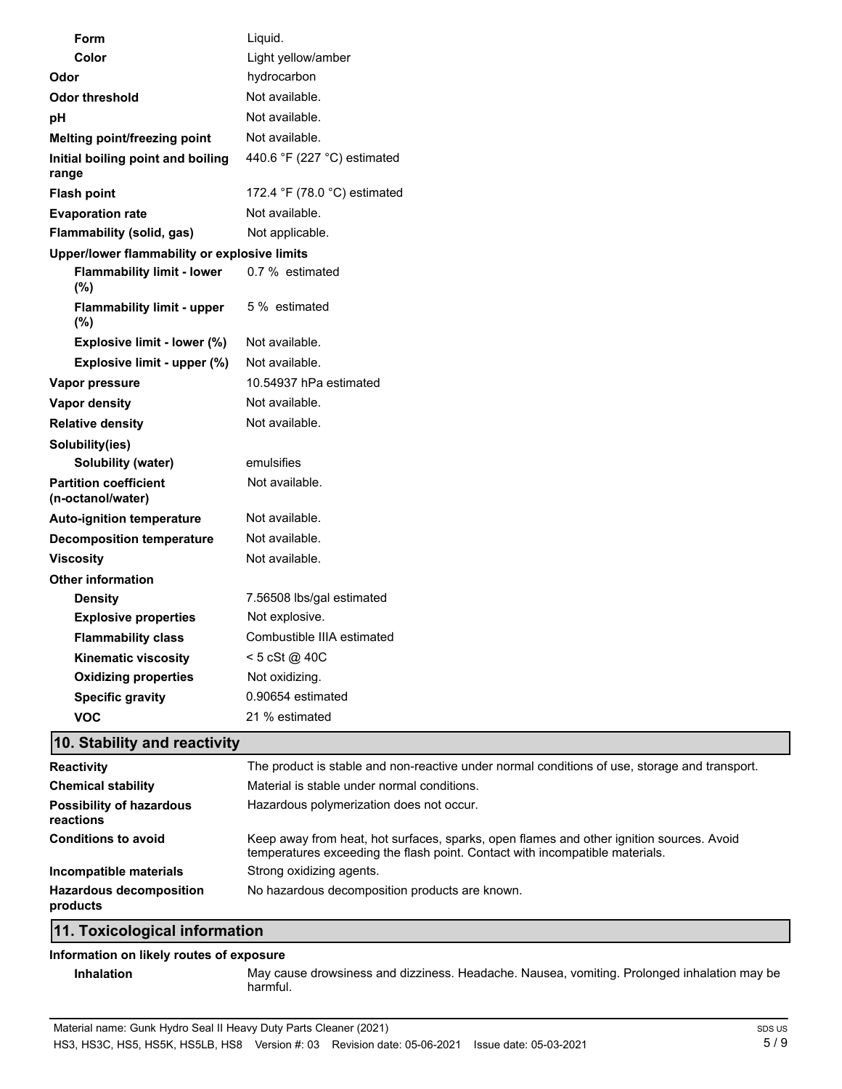|                 | Form                                              | Liquid.                      |  |  |
|-----------------|---------------------------------------------------|------------------------------|--|--|
|                 | Color                                             | Light yellow/amber           |  |  |
| Odor            |                                                   | hydrocarbon                  |  |  |
|                 | <b>Odor threshold</b>                             | Not available.               |  |  |
| pH              |                                                   | Not available.               |  |  |
|                 | Melting point/freezing point                      | Not available.               |  |  |
| range           | Initial boiling point and boiling                 | 440.6 °F (227 °C) estimated  |  |  |
|                 | <b>Flash point</b>                                | 172.4 °F (78.0 °C) estimated |  |  |
|                 | <b>Evaporation rate</b>                           | Not available.               |  |  |
|                 | <b>Flammability (solid, gas)</b>                  | Not applicable.              |  |  |
|                 | Upper/lower flammability or explosive limits      |                              |  |  |
|                 | <b>Flammability limit - lower</b><br>(%)          | 0.7 % estimated              |  |  |
|                 | <b>Flammability limit - upper</b><br>$(\%)$       | 5 % estimated                |  |  |
|                 | Explosive limit - lower (%)                       | Not available.               |  |  |
|                 | Explosive limit - upper (%)                       | Not available.               |  |  |
|                 | Vapor pressure                                    | 10.54937 hPa estimated       |  |  |
|                 | <b>Vapor density</b>                              | Not available.               |  |  |
|                 | <b>Relative density</b>                           | Not available.               |  |  |
| Solubility(ies) |                                                   |                              |  |  |
|                 | Solubility (water)                                | emulsifies                   |  |  |
|                 | <b>Partition coefficient</b><br>(n-octanol/water) | Not available.               |  |  |
|                 | <b>Auto-ignition temperature</b>                  | Not available.               |  |  |
|                 | <b>Decomposition temperature</b>                  | Not available.               |  |  |
|                 | <b>Viscosity</b>                                  | Not available.               |  |  |
|                 | <b>Other information</b>                          |                              |  |  |
|                 | <b>Density</b>                                    | 7.56508 lbs/gal estimated    |  |  |
|                 | <b>Explosive properties</b>                       | Not explosive.               |  |  |
|                 | <b>Flammability class</b>                         | Combustible IIIA estimated   |  |  |
|                 | <b>Kinematic viscosity</b>                        | < 5 cSt @ 40C                |  |  |
|                 | <b>Oxidizing properties</b>                       | Not oxidizing.               |  |  |
|                 | <b>Specific gravity</b>                           | 0.90654 estimated            |  |  |
|                 | <b>VOC</b>                                        | 21 % estimated               |  |  |

## **10. Stability and reactivity**

| <b>Reactivity</b>                            | The product is stable and non-reactive under normal conditions of use, storage and transport.                                                                            |
|----------------------------------------------|--------------------------------------------------------------------------------------------------------------------------------------------------------------------------|
| <b>Chemical stability</b>                    | Material is stable under normal conditions.                                                                                                                              |
| <b>Possibility of hazardous</b><br>reactions | Hazardous polymerization does not occur.                                                                                                                                 |
| <b>Conditions to avoid</b>                   | Keep away from heat, hot surfaces, sparks, open flames and other ignition sources. Avoid<br>temperatures exceeding the flash point. Contact with incompatible materials. |
| Incompatible materials                       | Strong oxidizing agents.                                                                                                                                                 |
| <b>Hazardous decomposition</b><br>products   | No hazardous decomposition products are known.                                                                                                                           |
| 11. Toxicological information                |                                                                                                                                                                          |

### **Information on likely routes of exposure**

**Inhalation** May cause drowsiness and dizziness. Headache. Nausea, vomiting. Prolonged inhalation may be harmful.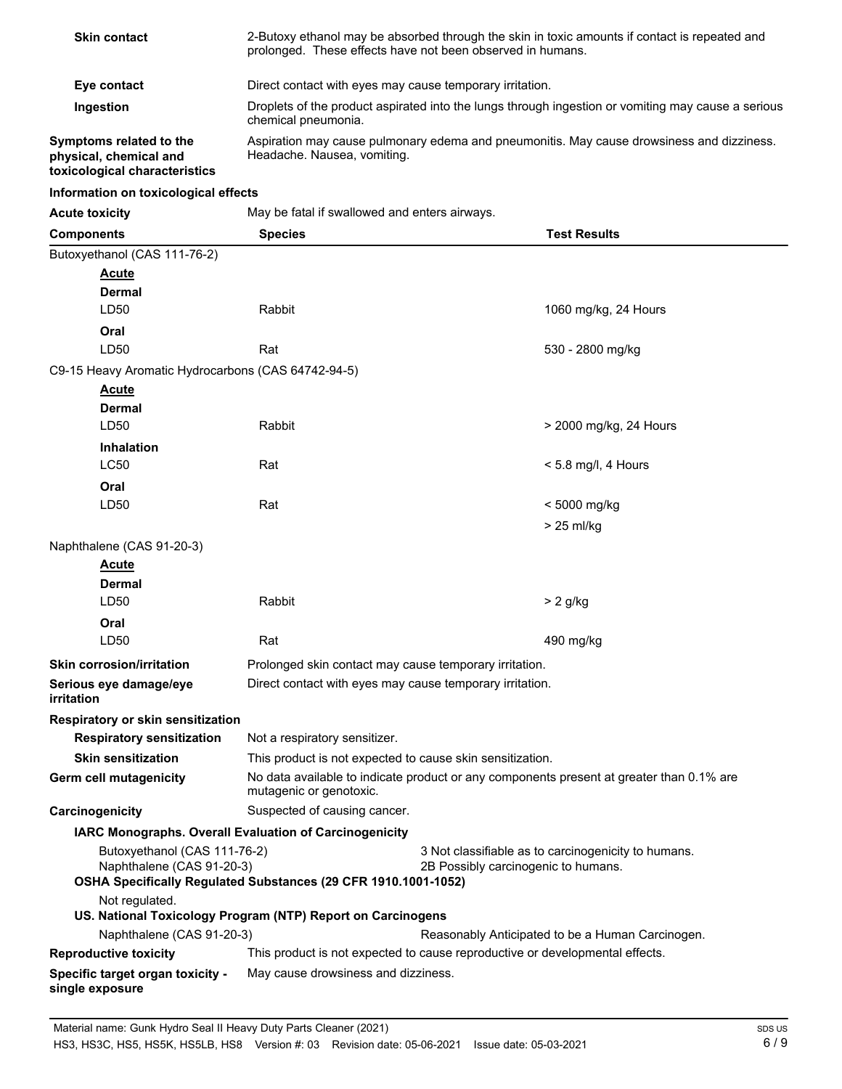| <b>Skin contact</b>                                                                                                                                                                                                       | 2-Butoxy ethanol may be absorbed through the skin in toxic amounts if contact is repeated and<br>prolonged. These effects have not been observed in humans. |  |                                                                                          |
|---------------------------------------------------------------------------------------------------------------------------------------------------------------------------------------------------------------------------|-------------------------------------------------------------------------------------------------------------------------------------------------------------|--|------------------------------------------------------------------------------------------|
| Eye contact                                                                                                                                                                                                               | Direct contact with eyes may cause temporary irritation.                                                                                                    |  |                                                                                          |
| Ingestion                                                                                                                                                                                                                 | Droplets of the product aspirated into the lungs through ingestion or vomiting may cause a serious<br>chemical pneumonia.                                   |  |                                                                                          |
| Symptoms related to the<br>physical, chemical and<br>toxicological characteristics                                                                                                                                        | Aspiration may cause pulmonary edema and pneumonitis. May cause drowsiness and dizziness.<br>Headache. Nausea, vomiting.                                    |  |                                                                                          |
| Information on toxicological effects                                                                                                                                                                                      |                                                                                                                                                             |  |                                                                                          |
| <b>Acute toxicity</b>                                                                                                                                                                                                     | May be fatal if swallowed and enters airways.                                                                                                               |  |                                                                                          |
| <b>Components</b>                                                                                                                                                                                                         | <b>Species</b>                                                                                                                                              |  | <b>Test Results</b>                                                                      |
| Butoxyethanol (CAS 111-76-2)<br><b>Acute</b><br><b>Dermal</b>                                                                                                                                                             |                                                                                                                                                             |  |                                                                                          |
| LD50<br>Oral                                                                                                                                                                                                              | Rabbit                                                                                                                                                      |  | 1060 mg/kg, 24 Hours                                                                     |
| LD50                                                                                                                                                                                                                      | Rat                                                                                                                                                         |  | 530 - 2800 mg/kg                                                                         |
| C9-15 Heavy Aromatic Hydrocarbons (CAS 64742-94-5)                                                                                                                                                                        |                                                                                                                                                             |  |                                                                                          |
| <b>Acute</b><br><b>Dermal</b>                                                                                                                                                                                             |                                                                                                                                                             |  |                                                                                          |
| LD50                                                                                                                                                                                                                      | Rabbit                                                                                                                                                      |  | > 2000 mg/kg, 24 Hours                                                                   |
| <b>Inhalation</b><br><b>LC50</b>                                                                                                                                                                                          | Rat                                                                                                                                                         |  | $< 5.8$ mg/l, 4 Hours                                                                    |
| Oral<br>LD <sub>50</sub>                                                                                                                                                                                                  | Rat                                                                                                                                                         |  | $< 5000$ mg/kg                                                                           |
|                                                                                                                                                                                                                           |                                                                                                                                                             |  | $> 25$ ml/kg                                                                             |
| Naphthalene (CAS 91-20-3)                                                                                                                                                                                                 |                                                                                                                                                             |  |                                                                                          |
| <b>Acute</b>                                                                                                                                                                                                              |                                                                                                                                                             |  |                                                                                          |
| <b>Dermal</b>                                                                                                                                                                                                             |                                                                                                                                                             |  |                                                                                          |
| LD50                                                                                                                                                                                                                      | Rabbit                                                                                                                                                      |  | $> 2$ g/kg                                                                               |
| Oral                                                                                                                                                                                                                      |                                                                                                                                                             |  |                                                                                          |
| LD50                                                                                                                                                                                                                      | Rat                                                                                                                                                         |  | 490 mg/kg                                                                                |
| <b>Skin corrosion/irritation</b>                                                                                                                                                                                          | Prolonged skin contact may cause temporary irritation.                                                                                                      |  |                                                                                          |
| Serious eye damage/eye<br>irritation                                                                                                                                                                                      | Direct contact with eyes may cause temporary irritation.                                                                                                    |  |                                                                                          |
| Respiratory or skin sensitization                                                                                                                                                                                         |                                                                                                                                                             |  |                                                                                          |
| <b>Respiratory sensitization</b>                                                                                                                                                                                          | Not a respiratory sensitizer.                                                                                                                               |  |                                                                                          |
| <b>Skin sensitization</b>                                                                                                                                                                                                 | This product is not expected to cause skin sensitization.                                                                                                   |  |                                                                                          |
| <b>Germ cell mutagenicity</b>                                                                                                                                                                                             | mutagenic or genotoxic.                                                                                                                                     |  | No data available to indicate product or any components present at greater than 0.1% are |
| Carcinogenicity                                                                                                                                                                                                           | Suspected of causing cancer.                                                                                                                                |  |                                                                                          |
|                                                                                                                                                                                                                           | IARC Monographs. Overall Evaluation of Carcinogenicity                                                                                                      |  |                                                                                          |
| Butoxyethanol (CAS 111-76-2)<br>3 Not classifiable as to carcinogenicity to humans.<br>Naphthalene (CAS 91-20-3)<br>2B Possibly carcinogenic to humans.<br>OSHA Specifically Regulated Substances (29 CFR 1910.1001-1052) |                                                                                                                                                             |  |                                                                                          |
| Not regulated.                                                                                                                                                                                                            | US. National Toxicology Program (NTP) Report on Carcinogens                                                                                                 |  |                                                                                          |
| Naphthalene (CAS 91-20-3)                                                                                                                                                                                                 |                                                                                                                                                             |  | Reasonably Anticipated to be a Human Carcinogen.                                         |
| <b>Reproductive toxicity</b>                                                                                                                                                                                              | This product is not expected to cause reproductive or developmental effects.                                                                                |  |                                                                                          |
| Specific target organ toxicity -<br>single exposure                                                                                                                                                                       | May cause drowsiness and dizziness.                                                                                                                         |  |                                                                                          |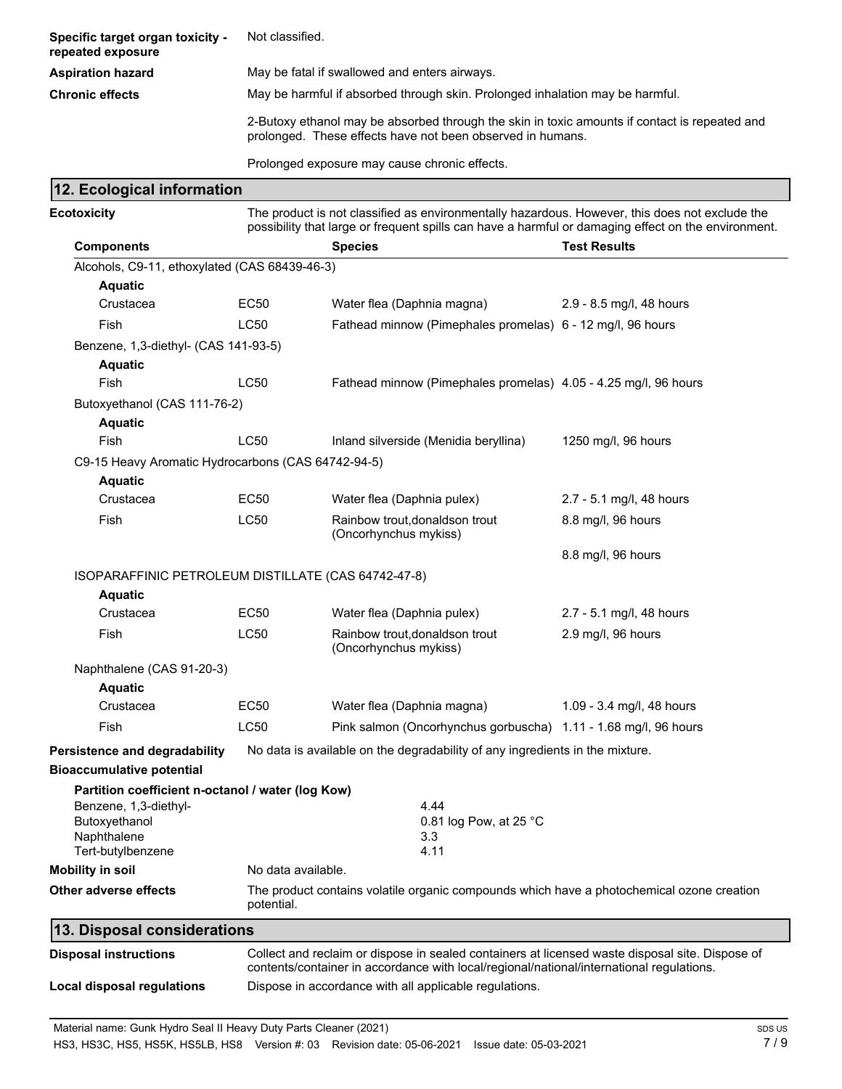| Specific target organ toxicity -<br>repeated exposure                 | Not classified.                                                               |                                                                                                                                                                                                       |                           |  |  |
|-----------------------------------------------------------------------|-------------------------------------------------------------------------------|-------------------------------------------------------------------------------------------------------------------------------------------------------------------------------------------------------|---------------------------|--|--|
| <b>Aspiration hazard</b>                                              | May be fatal if swallowed and enters airways.                                 |                                                                                                                                                                                                       |                           |  |  |
| <b>Chronic effects</b>                                                | May be harmful if absorbed through skin. Prolonged inhalation may be harmful. |                                                                                                                                                                                                       |                           |  |  |
|                                                                       |                                                                               | 2-Butoxy ethanol may be absorbed through the skin in toxic amounts if contact is repeated and<br>prolonged. These effects have not been observed in humans.                                           |                           |  |  |
|                                                                       |                                                                               | Prolonged exposure may cause chronic effects.                                                                                                                                                         |                           |  |  |
| 12. Ecological information                                            |                                                                               |                                                                                                                                                                                                       |                           |  |  |
| <b>Ecotoxicity</b>                                                    |                                                                               | The product is not classified as environmentally hazardous. However, this does not exclude the<br>possibility that large or frequent spills can have a harmful or damaging effect on the environment. |                           |  |  |
| <b>Components</b>                                                     |                                                                               | <b>Species</b>                                                                                                                                                                                        | <b>Test Results</b>       |  |  |
| Alcohols, C9-11, ethoxylated (CAS 68439-46-3)                         |                                                                               |                                                                                                                                                                                                       |                           |  |  |
| <b>Aquatic</b>                                                        |                                                                               |                                                                                                                                                                                                       |                           |  |  |
| Crustacea                                                             | <b>EC50</b>                                                                   | Water flea (Daphnia magna)                                                                                                                                                                            | 2.9 - 8.5 mg/l, 48 hours  |  |  |
| Fish                                                                  | LC50                                                                          | Fathead minnow (Pimephales promelas) 6 - 12 mg/l, 96 hours                                                                                                                                            |                           |  |  |
| Benzene, 1,3-diethyl- (CAS 141-93-5)                                  |                                                                               |                                                                                                                                                                                                       |                           |  |  |
| <b>Aquatic</b>                                                        |                                                                               |                                                                                                                                                                                                       |                           |  |  |
| Fish                                                                  | LC50                                                                          | Fathead minnow (Pimephales promelas) 4.05 - 4.25 mg/l, 96 hours                                                                                                                                       |                           |  |  |
| Butoxyethanol (CAS 111-76-2)<br><b>Aquatic</b>                        |                                                                               |                                                                                                                                                                                                       |                           |  |  |
| Fish                                                                  | LC50                                                                          | Inland silverside (Menidia beryllina)                                                                                                                                                                 | 1250 mg/l, 96 hours       |  |  |
| C9-15 Heavy Aromatic Hydrocarbons (CAS 64742-94-5)<br><b>Aquatic</b>  |                                                                               |                                                                                                                                                                                                       |                           |  |  |
| Crustacea                                                             | EC50                                                                          | Water flea (Daphnia pulex)                                                                                                                                                                            | 2.7 - 5.1 mg/l, 48 hours  |  |  |
| Fish                                                                  | <b>LC50</b>                                                                   | Rainbow trout, donaldson trout<br>(Oncorhynchus mykiss)                                                                                                                                               | 8.8 mg/l, 96 hours        |  |  |
|                                                                       |                                                                               |                                                                                                                                                                                                       | 8.8 mg/l, 96 hours        |  |  |
| ISOPARAFFINIC PETROLEUM DISTILLATE (CAS 64742-47-8)<br><b>Aquatic</b> |                                                                               |                                                                                                                                                                                                       |                           |  |  |
| Crustacea                                                             | <b>EC50</b>                                                                   | Water flea (Daphnia pulex)                                                                                                                                                                            | 2.7 - 5.1 mg/l, 48 hours  |  |  |
| Fish                                                                  | LC50                                                                          | Rainbow trout, donaldson trout<br>(Oncorhynchus mykiss)                                                                                                                                               | 2.9 mg/l, 96 hours        |  |  |
| Naphthalene (CAS 91-20-3)                                             |                                                                               |                                                                                                                                                                                                       |                           |  |  |
| <b>Aquatic</b>                                                        |                                                                               |                                                                                                                                                                                                       |                           |  |  |
| Crustacea                                                             | <b>EC50</b>                                                                   | Water flea (Daphnia magna)                                                                                                                                                                            | 1.09 - 3.4 mg/l, 48 hours |  |  |
| Fish                                                                  | LC50                                                                          | Pink salmon (Oncorhynchus gorbuscha) 1.11 - 1.68 mg/l, 96 hours                                                                                                                                       |                           |  |  |
| Persistence and degradability                                         |                                                                               | No data is available on the degradability of any ingredients in the mixture.                                                                                                                          |                           |  |  |
| <b>Bioaccumulative potential</b>                                      |                                                                               |                                                                                                                                                                                                       |                           |  |  |
| Partition coefficient n-octanol / water (log Kow)                     |                                                                               |                                                                                                                                                                                                       |                           |  |  |
| Benzene, 1,3-diethyl-<br>Butoxyethanol                                |                                                                               | 4.44<br>0.81 log Pow, at 25 °C                                                                                                                                                                        |                           |  |  |
| Naphthalene<br>Tert-butylbenzene                                      |                                                                               | 3.3<br>4.11                                                                                                                                                                                           |                           |  |  |
| <b>Mobility in soil</b>                                               | No data available.                                                            |                                                                                                                                                                                                       |                           |  |  |
| Other adverse effects                                                 | potential.                                                                    | The product contains volatile organic compounds which have a photochemical ozone creation                                                                                                             |                           |  |  |
| 13. Disposal considerations                                           |                                                                               |                                                                                                                                                                                                       |                           |  |  |
| <b>Disposal instructions</b>                                          |                                                                               | Collect and reclaim or dispose in sealed containers at licensed waste disposal site. Dispose of<br>contents/container in accordance with local/regional/national/international regulations.           |                           |  |  |
| Local disposal regulations                                            |                                                                               | Dispose in accordance with all applicable regulations.                                                                                                                                                |                           |  |  |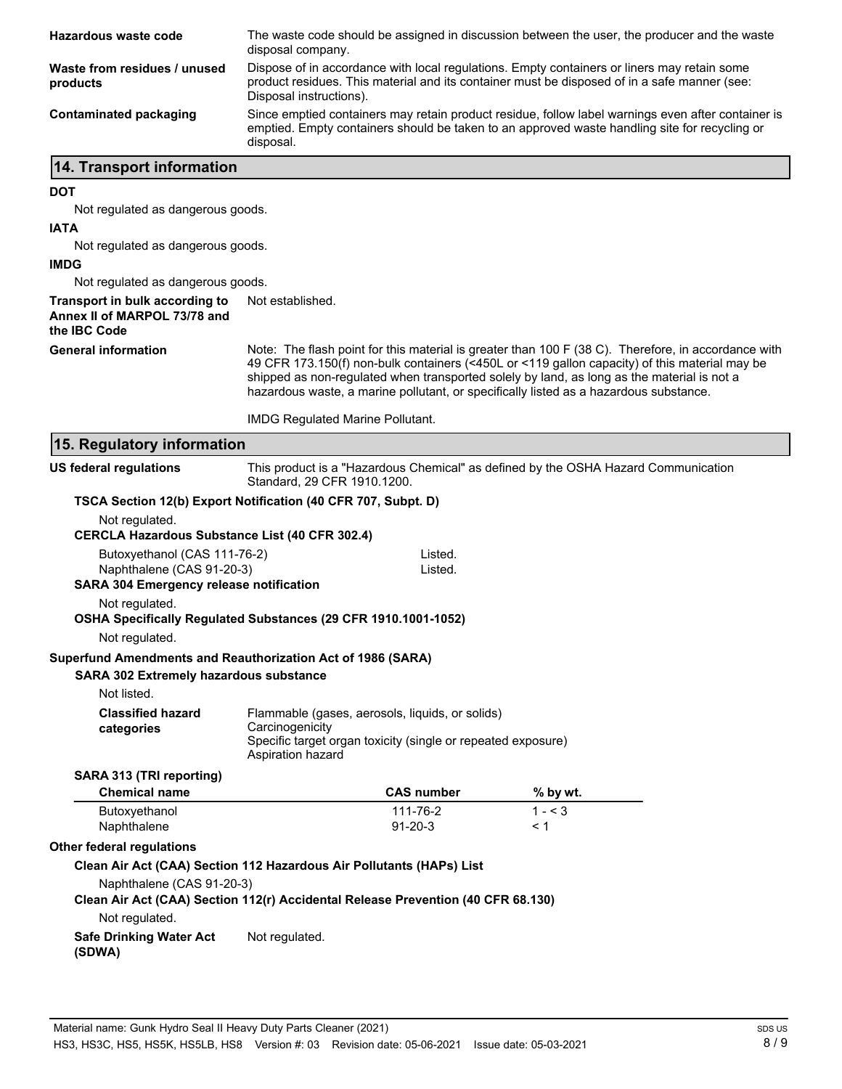| Hazardous waste code                                                                                         | The waste code should be assigned in discussion between the user, the producer and the waste<br>disposal company.                                                                                                      |                                                                                                                                                                                                      |  |
|--------------------------------------------------------------------------------------------------------------|------------------------------------------------------------------------------------------------------------------------------------------------------------------------------------------------------------------------|------------------------------------------------------------------------------------------------------------------------------------------------------------------------------------------------------|--|
| Waste from residues / unused<br>products                                                                     | Dispose of in accordance with local regulations. Empty containers or liners may retain some<br>product residues. This material and its container must be disposed of in a safe manner (see:<br>Disposal instructions). |                                                                                                                                                                                                      |  |
| <b>Contaminated packaging</b>                                                                                | Since emptied containers may retain product residue, follow label warnings even after container is<br>emptied. Empty containers should be taken to an approved waste handling site for recycling or<br>disposal.       |                                                                                                                                                                                                      |  |
| 14. Transport information                                                                                    |                                                                                                                                                                                                                        |                                                                                                                                                                                                      |  |
| <b>DOT</b>                                                                                                   |                                                                                                                                                                                                                        |                                                                                                                                                                                                      |  |
| Not regulated as dangerous goods.                                                                            |                                                                                                                                                                                                                        |                                                                                                                                                                                                      |  |
| <b>IATA</b>                                                                                                  |                                                                                                                                                                                                                        |                                                                                                                                                                                                      |  |
| Not regulated as dangerous goods.                                                                            |                                                                                                                                                                                                                        |                                                                                                                                                                                                      |  |
| <b>IMDG</b>                                                                                                  |                                                                                                                                                                                                                        |                                                                                                                                                                                                      |  |
| Not regulated as dangerous goods.                                                                            | Not established.                                                                                                                                                                                                       |                                                                                                                                                                                                      |  |
| Transport in bulk according to<br>Annex II of MARPOL 73/78 and<br>the IBC Code                               |                                                                                                                                                                                                                        |                                                                                                                                                                                                      |  |
| <b>General information</b>                                                                                   | shipped as non-regulated when transported solely by land, as long as the material is not a<br>hazardous waste, a marine pollutant, or specifically listed as a hazardous substance.                                    | Note: The flash point for this material is greater than 100 F (38 C). Therefore, in accordance with<br>49 CFR 173.150(f) non-bulk containers (<450L or <119 gallon capacity) of this material may be |  |
|                                                                                                              | <b>IMDG Regulated Marine Pollutant.</b>                                                                                                                                                                                |                                                                                                                                                                                                      |  |
| 15. Regulatory information                                                                                   |                                                                                                                                                                                                                        |                                                                                                                                                                                                      |  |
| <b>US federal regulations</b>                                                                                | This product is a "Hazardous Chemical" as defined by the OSHA Hazard Communication<br>Standard, 29 CFR 1910.1200.                                                                                                      |                                                                                                                                                                                                      |  |
|                                                                                                              | TSCA Section 12(b) Export Notification (40 CFR 707, Subpt. D)                                                                                                                                                          |                                                                                                                                                                                                      |  |
| Not regulated.<br><b>CERCLA Hazardous Substance List (40 CFR 302.4)</b>                                      |                                                                                                                                                                                                                        |                                                                                                                                                                                                      |  |
| Butoxyethanol (CAS 111-76-2)                                                                                 | Listed.                                                                                                                                                                                                                |                                                                                                                                                                                                      |  |
| Naphthalene (CAS 91-20-3)                                                                                    | Listed.                                                                                                                                                                                                                |                                                                                                                                                                                                      |  |
| <b>SARA 304 Emergency release notification</b>                                                               |                                                                                                                                                                                                                        |                                                                                                                                                                                                      |  |
| Not regulated.                                                                                               | OSHA Specifically Regulated Substances (29 CFR 1910.1001-1052)                                                                                                                                                         |                                                                                                                                                                                                      |  |
| Not regulated.                                                                                               |                                                                                                                                                                                                                        |                                                                                                                                                                                                      |  |
| Superfund Amendments and Reauthorization Act of 1986 (SARA)<br><b>SARA 302 Extremely hazardous substance</b> |                                                                                                                                                                                                                        |                                                                                                                                                                                                      |  |
| Not listed.                                                                                                  |                                                                                                                                                                                                                        |                                                                                                                                                                                                      |  |
| <b>Classified hazard</b>                                                                                     | Flammable (gases, aerosols, liquids, or solids)                                                                                                                                                                        |                                                                                                                                                                                                      |  |
| categories                                                                                                   | Carcinogenicity<br>Specific target organ toxicity (single or repeated exposure)<br>Aspiration hazard                                                                                                                   |                                                                                                                                                                                                      |  |
| SARA 313 (TRI reporting)                                                                                     |                                                                                                                                                                                                                        |                                                                                                                                                                                                      |  |
| <b>Chemical name</b>                                                                                         | <b>CAS number</b>                                                                                                                                                                                                      | % by wt.                                                                                                                                                                                             |  |
| Butoxyethanol<br>Naphthalene                                                                                 | 111-76-2<br>$91 - 20 - 3$                                                                                                                                                                                              | $1 - 3$<br>< 1                                                                                                                                                                                       |  |
| <b>Other federal regulations</b>                                                                             |                                                                                                                                                                                                                        |                                                                                                                                                                                                      |  |
|                                                                                                              | Clean Air Act (CAA) Section 112 Hazardous Air Pollutants (HAPs) List                                                                                                                                                   |                                                                                                                                                                                                      |  |

**Clean Air Act (CAA) Section 112(r) Accidental Release Prevention (40 CFR 68.130)**

Not regulated.

**Safe Drinking Water Act** Not regulated. **(SDWA)**